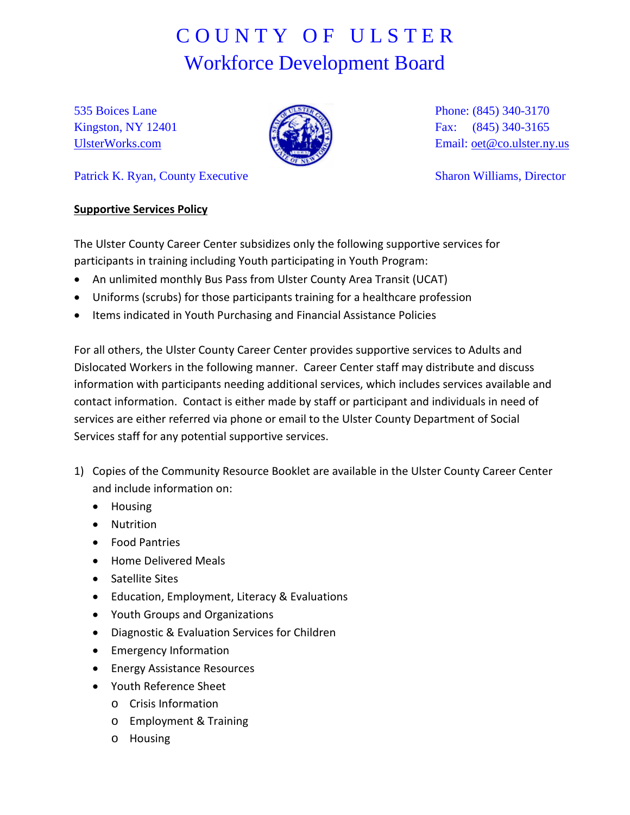## C O U N T Y O F U L S T E R Workforce Development Board

535 Boices Lane Kingston, NY 12401 [UlsterWorks.com](http://www.ulsterworks.com/)



Phone: (845) 340-3170 Fax: (845) 340-3165 Email: [oet@co.ulster.ny.us](mailto:oet@co.ulster.ny.us)

Patrick K. Ryan, County Executive

Sharon Williams, Director

## **Supportive Services Policy**

The Ulster County Career Center subsidizes only the following supportive services for participants in training including Youth participating in Youth Program:

- An unlimited monthly Bus Pass from Ulster County Area Transit (UCAT)
- Uniforms (scrubs) for those participants training for a healthcare profession
- Items indicated in Youth Purchasing and Financial Assistance Policies

For all others, the Ulster County Career Center provides supportive services to Adults and Dislocated Workers in the following manner. Career Center staff may distribute and discuss information with participants needing additional services, which includes services available and contact information. Contact is either made by staff or participant and individuals in need of services are either referred via phone or email to the Ulster County Department of Social Services staff for any potential supportive services.

- 1) Copies of the Community Resource Booklet are available in the Ulster County Career Center and include information on:
	- Housing
	- Nutrition
	- Food Pantries
	- Home Delivered Meals
	- Satellite Sites
	- Education, Employment, Literacy & Evaluations
	- Youth Groups and Organizations
	- Diagnostic & Evaluation Services for Children
	- Emergency Information
	- Energy Assistance Resources
	- Youth Reference Sheet
		- o Crisis Information
		- o Employment & Training
		- o Housing